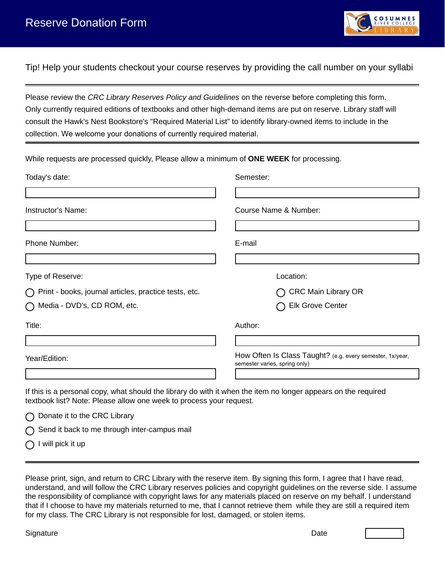

Tip! Help your students checkout your course reserves by providing the call number on your syllabi

Please review the *CRC Library Reserves Policy and Guidelines* on the reverse before completing this form. Only currently required editions of textbooks and other high-demand items are put on reserve. Library staff will consult the Hawk's Nest Bookstore's "Required Material List" to identify library-owned items to include in the collection. We welcome your donations of currently required material.

| While requests are processed quickly, Please allow a minimum of ONE WEEK for processing. |                                                                                            |  |  |
|------------------------------------------------------------------------------------------|--------------------------------------------------------------------------------------------|--|--|
| Today's date:                                                                            | Semester:                                                                                  |  |  |
|                                                                                          |                                                                                            |  |  |
| Instructor's Name:                                                                       | Course Name & Number:                                                                      |  |  |
|                                                                                          |                                                                                            |  |  |
| Phone Number:                                                                            | E-mail                                                                                     |  |  |
|                                                                                          |                                                                                            |  |  |
| Type of Reserve:                                                                         | Location:                                                                                  |  |  |
| $\bigcap$ Print - books, journal articles, practice tests, etc.                          | <b>CRC Main Library OR</b>                                                                 |  |  |
| ◯ Media - DVD's, CD ROM, etc.                                                            | <b>Elk Grove Center</b>                                                                    |  |  |
| Title:                                                                                   | Author:                                                                                    |  |  |
|                                                                                          |                                                                                            |  |  |
| Year/Edition:                                                                            | How Often Is Class Taught? (e.g. every semester, 1x/year,<br>semester varies, spring only) |  |  |
|                                                                                          |                                                                                            |  |  |

If this is a personal copy, what should the library do with it when the item no longer appears on the required textbook list? Note: Please allow one week to process your request.

|  | ◯ Donate it to the CRC Library |  |  |  |
|--|--------------------------------|--|--|--|
|--|--------------------------------|--|--|--|

Send it back to me through inter-campus mail

 $\bigcap$  I will pick it up

Please print, sign, and return to CRC Library with the reserve item. By signing this form, I agree that I have read, understand, and will follow the CRC Library reserves policies and copyright guidelines on the reverse side. I assume the responsibility of compliance with copyright laws for any materials placed on reserve on my behalf. I understand that if I choose to have my materials returned to me, that I cannot retrieve them while they are still a required item for my class. The CRC Library is not responsible for lost, damaged, or stolen items.

Signature Date Date of the Signature Date of the Signature Date of the Date of the Date of the Date of the Date